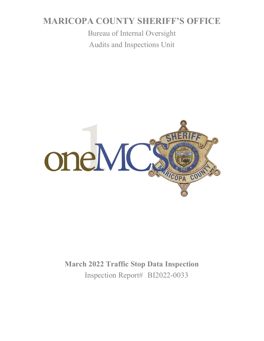# **MARICOPA COUNTY SHERIFF'S OFFICE**

Bureau of Internal Oversight Audits and Inspections Unit



# **March 2022 Traffic Stop Data Inspection** Inspection Report# BI2022-0033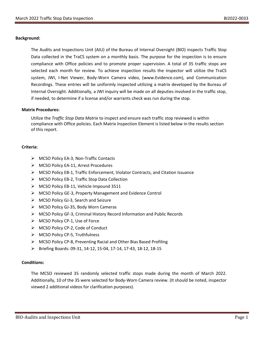#### **Background:**

The Audits and Inspections Unit (AIU) of the Bureau of Internal Oversight (BIO) inspects Traffic Stop Data collected in the TraCS system on a monthly basis. The purpose for the inspection is to ensure compliance with Office policies and to promote proper supervision. A total of 35 traffic stops are selected each month for review. To achieve inspection results the inspector will utilize the TraCS system, JWI, I-Net Viewer, Body-Worn Camera video, (www.Evidence.com), and Communication Recordings. These entries will be uniformly inspected utilizing a matrix developed by the Bureau of Internal Oversight. Additionally, a JWI inquiry will be made on all deputies involved in the traffic stop, if needed, to determine if a license and/or warrants check was run during the stop.

#### **Matrix Procedures:**

Utilize the *Traffic Stop Data Matrix* to inspect and ensure each traffic stop reviewed is within compliance with Office policies. Each Matrix Inspection Element is listed below in the results section of this report.

#### **Criteria:**

- ➢ MCSO Policy EA-3, Non-Traffic Contacts
- ➢ MCSO Policy EA-11, Arrest Procedures
- ➢ MCSO Policy EB-1, Traffic Enforcement, Violator Contracts, and Citation Issuance
- ➢ MCSO Policy EB-2, Traffic Stop Data Collection
- ➢ MCSO Policy EB-11, Vehicle Impound 3511
- ➢ MCSO Policy GE-3, Property Management and Evidence Control
- ➢ MCSO Policy GJ-3, Search and Seizure
- ➢ MCSO Policy GJ-35, Body Worn Cameras
- ➢ MCSO Policy GF-3, Criminal History Record Information and Public Records
- ➢ MCSO Policy CP-1, Use of Force
- ➢ MCSO Policy CP-2, Code of Conduct
- ➢ MCSO Policy CP-5, Truthfulness
- ➢ MCSO Policy CP-8, Preventing Racial and Other Bias Based Profiling
- ➢ Briefing Boards: 09-31, 14-12, 15-04, 17-14, 17-43, 18-12, 18-15

#### **Conditions:**

The MCSO reviewed 35 randomly selected traffic stops made during the month of March 2022. Additionally, 10 of the 35 were selected for Body-Worn Camera review. (It should be noted, inspector viewed 2 additional videos for clarification purposes).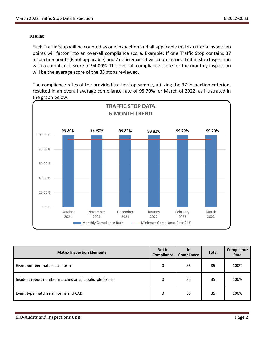#### **Results:**

Each Traffic Stop will be counted as one inspection and all applicable matrix criteria inspection points will factor into an over-all compliance score. Example: If one Traffic Stop contains 37 inspection points (6 not applicable) and 2 deficiencies it will count as one Traffic Stop Inspection with a compliance score of 94.00%. The over-all compliance score for the monthly inspection will be the average score of the 35 stops reviewed.

The compliance rates of the provided traffic stop sample, utilizing the 37-inspection criterion, resulted in an overall average compliance rate of **99.70%** for March of 2022, as illustrated in the graph below.



| <b>Matrix Inspection Elements</b>                      | Not in<br>Compliance | <u>In</u><br>Compliance | <b>Total</b> | Compliance<br>Rate |
|--------------------------------------------------------|----------------------|-------------------------|--------------|--------------------|
| Event number matches all forms                         | 0                    | 35                      | 35           | 100%               |
| Incident report number matches on all applicable forms | 0                    | 35                      | 35           | 100%               |
| Event type matches all forms and CAD                   | 0                    | 35                      | 35           | 100%               |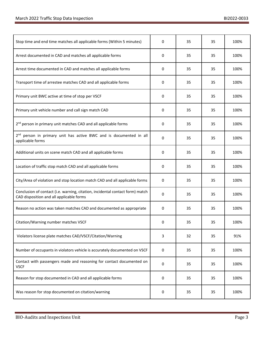| Stop time and end time matches all applicable forms (Within 5 minutes)                                                    | 0                   | 35 | 35 | 100% |
|---------------------------------------------------------------------------------------------------------------------------|---------------------|----|----|------|
| Arrest documented in CAD and matches all applicable forms                                                                 | 0                   | 35 | 35 | 100% |
| Arrest time documented in CAD and matches all applicable forms                                                            | 0                   | 35 | 35 | 100% |
| Transport time of arrestee matches CAD and all applicable forms                                                           | 0                   | 35 | 35 | 100% |
| Primary unit BWC active at time of stop per VSCF                                                                          | 0                   | 35 | 35 | 100% |
| Primary unit vehicle number and call sign match CAD                                                                       | 0                   | 35 | 35 | 100% |
| 2 <sup>nd</sup> person in primary unit matches CAD and all applicable forms                                               | 0                   | 35 | 35 | 100% |
| 2 <sup>nd</sup> person in primary unit has active BWC and is documented in all<br>applicable forms                        | 0                   | 35 | 35 | 100% |
| Additional units on scene match CAD and all applicable forms                                                              | 0                   | 35 | 35 | 100% |
| Location of traffic stop match CAD and all applicable forms                                                               | $\mathbf 0$         | 35 | 35 | 100% |
| City/Area of violation and stop location match CAD and all applicable forms                                               | 0                   | 35 | 35 | 100% |
| Conclusion of contact (i.e. warning, citation, incidental contact form) match<br>CAD disposition and all applicable forms | 0                   | 35 | 35 | 100% |
| Reason no action was taken matches CAD and documented as appropriate                                                      | 0                   | 35 | 35 | 100% |
| Citation/Warning number matches VSCF                                                                                      | 0                   | 35 | 35 | 100% |
| Violators license plate matches CAD/VSCF/Citation/Warning                                                                 | 3                   | 32 | 35 | 91%  |
| Number of occupants in violators vehicle is accurately documented on VSCF                                                 | 0                   | 35 | 35 | 100% |
| Contact with passengers made and reasoning for contact documented on<br><b>VSCF</b>                                       | $\mathsf{O}\xspace$ | 35 | 35 | 100% |
| Reason for stop documented in CAD and all applicable forms                                                                | 0                   | 35 | 35 | 100% |
| Was reason for stop documented on citation/warning                                                                        | 0                   | 35 | 35 | 100% |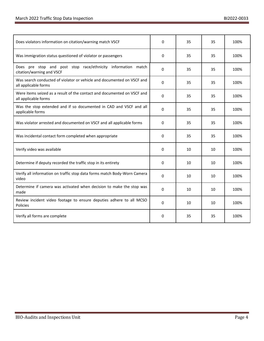| Does violators information on citation/warning match VSCF                                       | $\Omega$     | 35 | 35 | 100% |
|-------------------------------------------------------------------------------------------------|--------------|----|----|------|
| Was immigration status questioned of violator or passengers                                     | 0            | 35 | 35 | 100% |
| Does pre stop and post stop race/ethnicity information match<br>citation/warning and VSCF       | 0            | 35 | 35 | 100% |
| Was search conducted of violator or vehicle and documented on VSCF and<br>all applicable forms  | $\mathbf{0}$ | 35 | 35 | 100% |
| Were items seized as a result of the contact and documented on VSCF and<br>all applicable forms | 0            | 35 | 35 | 100% |
| Was the stop extended and if so documented in CAD and VSCF and all<br>applicable forms          | 0            | 35 | 35 | 100% |
| Was violator arrested and documented on VSCF and all applicable forms                           | 0            | 35 | 35 | 100% |
| Was incidental contact form completed when appropriate                                          | 0            | 35 | 35 | 100% |
| Verify video was available                                                                      | 0            | 10 | 10 | 100% |
| Determine if deputy recorded the traffic stop in its entirety                                   | 0            | 10 | 10 | 100% |
| Verify all information on traffic stop data forms match Body-Worn Camera<br>video               | 0            | 10 | 10 | 100% |
| Determine if camera was activated when decision to make the stop was<br>made                    | 0            | 10 | 10 | 100% |
| Review incident video footage to ensure deputies adhere to all MCSO<br>Policies                 | $\mathbf{0}$ | 10 | 10 | 100% |
| Verify all forms are complete                                                                   | 0            | 35 | 35 | 100% |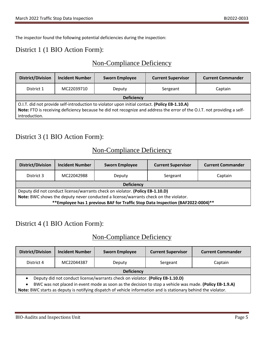The inspector found the following potential deficiencies during the inspection:

## District 1 (1 BIO Action Form):

### Non-Compliance Deficiency

| <b>District/Division</b>                                                                                                 | <b>Incident Number</b> | <b>Sworn Employee</b> | <b>Current Supervisor</b> | <b>Current Commander</b> |
|--------------------------------------------------------------------------------------------------------------------------|------------------------|-----------------------|---------------------------|--------------------------|
| District 1                                                                                                               | MC22039710             | Deputy                | Sergeant                  | Captain                  |
| <b>Deficiency</b>                                                                                                        |                        |                       |                           |                          |
| O.I.T. did not provide self-introduction to violator upon initial contact. (Policy EB-1.10.A)                            |                        |                       |                           |                          |
| Note: FTO is receiving deficiency because he did not recognize and address the error of the O.I.T. not providing a self- |                        |                       |                           |                          |
| introduction.                                                                                                            |                        |                       |                           |                          |

### District 3 (1 BIO Action Form):

# Non-Compliance Deficiency

| <b>District/Division</b>                                                             | <b>Incident Number</b> | <b>Sworn Employee</b> | <b>Current Supervisor</b> | <b>Current Commander</b> |
|--------------------------------------------------------------------------------------|------------------------|-----------------------|---------------------------|--------------------------|
| District 3                                                                           | MC22042988             | Deputy                | Sergeant                  | Captain                  |
| <b>Deficiency</b>                                                                    |                        |                       |                           |                          |
| Deputy did not conduct license/warrants check on violator. (Policy EB-1.10.D)        |                        |                       |                           |                          |
| Note: BWC shows the deputy never conducted a license/warrants check on the violator. |                        |                       |                           |                          |
| **Employee has 1 previous BAF for Traffic Stop Data Inspection (BAF2022-0004)**      |                        |                       |                           |                          |

### District 4 (1 BIO Action Form):

### Non-Compliance Deficiency

| <b>District/Division</b>                                                                               | <b>Incident Number</b> | <b>Sworn Employee</b> | <b>Current Supervisor</b> | <b>Current Commander</b> |
|--------------------------------------------------------------------------------------------------------|------------------------|-----------------------|---------------------------|--------------------------|
| District 4                                                                                             | MC22044387             | Deputy                | Sergeant                  | Captain                  |
| <b>Deficiency</b>                                                                                      |                        |                       |                           |                          |
| Deputy did not conduct license/warrants check on violator. (Policy EB-1.10.D)                          |                        |                       |                           |                          |
| BWC was not placed in event mode as soon as the decision to stop a vehicle was made. (Policy EB-1.9.A) |                        |                       |                           |                          |

**Note:** BWC starts as deputy is notifying dispatch of vehicle information and is stationary behind the violator.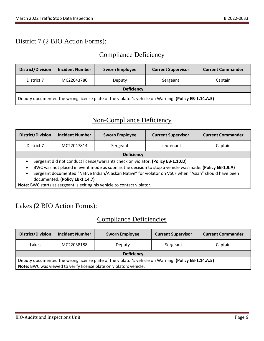# District 7 (2 BIO Action Forms):

# Compliance Deficiency

| <b>District/Division</b>                                                                             | <b>Incident Number</b> | <b>Sworn Employee</b> | <b>Current Supervisor</b> | <b>Current Commander</b> |
|------------------------------------------------------------------------------------------------------|------------------------|-----------------------|---------------------------|--------------------------|
| District 7                                                                                           | MC22043780             | Deputy                | Sergeant                  | Captain                  |
| <b>Deficiency</b>                                                                                    |                        |                       |                           |                          |
| Deputy documented the wrong license plate of the violator's vehicle on Warning. (Policy EB-1.14.A.5) |                        |                       |                           |                          |

# Non-Compliance Deficiency

| <b>District/Division</b>                                                                                                                                                                                                                                                                                                                                                    | <b>Incident Number</b> | <b>Sworn Employee</b> | <b>Current Supervisor</b> | <b>Current Commander</b> |  |
|-----------------------------------------------------------------------------------------------------------------------------------------------------------------------------------------------------------------------------------------------------------------------------------------------------------------------------------------------------------------------------|------------------------|-----------------------|---------------------------|--------------------------|--|
| District 7                                                                                                                                                                                                                                                                                                                                                                  | MC22047814             | Sergeant              | Lieutenant                | Captain                  |  |
|                                                                                                                                                                                                                                                                                                                                                                             | <b>Deficiency</b>      |                       |                           |                          |  |
| Sergeant did not conduct license/warrants check on violator. (Policy EB-1.10.D)<br>$\bullet$<br>BWC was not placed in event mode as soon as the decision to stop a vehicle was made. (Policy EB-1.9.A)<br>$\bullet$<br>Sergeant documented "Native Indian/Alaskan Native" for violator on VSCF when "Asian" should have been<br>$\bullet$<br>documented. (Policy EB-1.14.7) |                        |                       |                           |                          |  |

**Note:** BWC starts as sergeant is exiting his vehicle to contact violator.

### Lakes (2 BIO Action Forms):

### Compliance Deficiencies

| <b>District/Division</b>                                                                             | <b>Incident Number</b> | <b>Sworn Employee</b> | <b>Current Supervisor</b> | <b>Current Commander</b> |  |
|------------------------------------------------------------------------------------------------------|------------------------|-----------------------|---------------------------|--------------------------|--|
| Lakes                                                                                                | MC22038188             | Deputy                | Sergeant                  | Captain                  |  |
| <b>Deficiency</b>                                                                                    |                        |                       |                           |                          |  |
| Deputy documented the wrong license plate of the violator's vehicle on Warning. (Policy EB-1.14.A.5) |                        |                       |                           |                          |  |
| Note: BWC was viewed to verify license plate on violators vehicle.                                   |                        |                       |                           |                          |  |